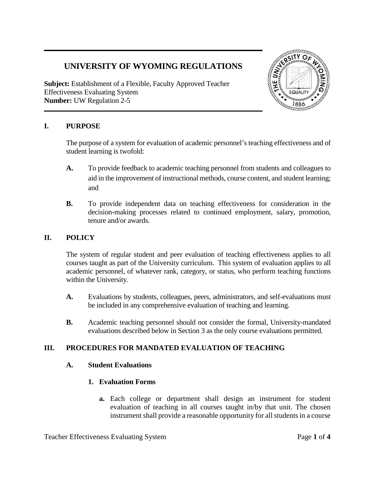# **UNIVERSITY OF WYOMING REGULATIONS**

**Subject:** Establishment of a Flexible, Faculty Approved Teacher Effectiveness Evaluating System **Number:** UW Regulation 2-5



## **I. PURPOSE**

The purpose of a system for evaluation of academic personnel's teaching effectiveness and of student learning is twofold:

- **A.** To provide feedback to academic teaching personnel from students and colleagues to aid in the improvement of instructional methods, course content, and student learning; and
- **B.** To provide independent data on teaching effectiveness for consideration in the decision-making processes related to continued employment, salary, promotion, tenure and/or awards.

## **II. POLICY**

The system of regular student and peer evaluation of teaching effectiveness applies to all courses taught as part of the University curriculum. This system of evaluation applies to all academic personnel, of whatever rank, category, or status, who perform teaching functions within the University.

- **A.** Evaluations by students, colleagues, peers, administrators, and self-evaluations must be included in any comprehensive evaluation of teaching and learning.
- **B.** Academic teaching personnel should not consider the formal, University-mandated evaluations described below in Section 3 as the only course evaluations permitted.

## **III. PROCEDURES FOR MANDATED EVALUATION OF TEACHING**

## **A. Student Evaluations**

## **1. Evaluation Forms**

**a.** Each college or department shall design an instrument for student evaluation of teaching in all courses taught in/by that unit. The chosen instrument shall provide a reasonable opportunity for all students in a course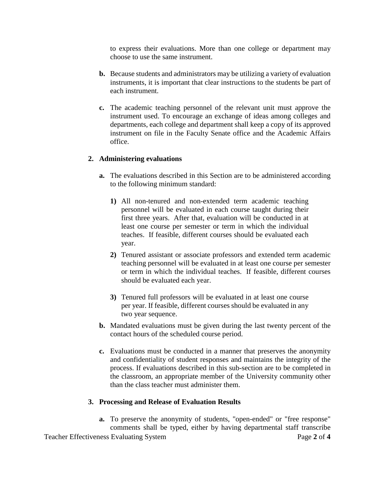to express their evaluations. More than one college or department may choose to use the same instrument.

- **b.** Because students and administrators may be utilizing a variety of evaluation instruments, it is important that clear instructions to the students be part of each instrument.
- **c.** The academic teaching personnel of the relevant unit must approve the instrument used. To encourage an exchange of ideas among colleges and departments, each college and department shall keep a copy of its approved instrument on file in the Faculty Senate office and the Academic Affairs office.

#### **2. Administering evaluations**

- **a.** The evaluations described in this Section are to be administered according to the following minimum standard:
	- **1)** All non-tenured and non-extended term academic teaching personnel will be evaluated in each course taught during their first three years. After that, evaluation will be conducted in at least one course per semester or term in which the individual teaches. If feasible, different courses should be evaluated each year.
	- **2)** Tenured assistant or associate professors and extended term academic teaching personnel will be evaluated in at least one course per semester or term in which the individual teaches. If feasible, different courses should be evaluated each year.
	- **3)** Tenured full professors will be evaluated in at least one course per year. If feasible, different courses should be evaluated in any two year sequence.
- **b.** Mandated evaluations must be given during the last twenty percent of the contact hours of the scheduled course period.
- **c.** Evaluations must be conducted in a manner that preserves the anonymity and confidentiality of student responses and maintains the integrity of the process. If evaluations described in this sub-section are to be completed in the classroom, an appropriate member of the University community other than the class teacher must administer them.

## **3. Processing and Release of Evaluation Results**

Teacher Effectiveness Evaluating System Page 2 of 4 **a.** To preserve the anonymity of students, "open-ended" or "free response" comments shall be typed, either by having departmental staff transcribe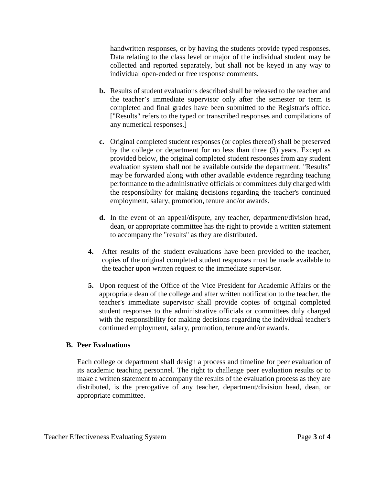handwritten responses, or by having the students provide typed responses. Data relating to the class level or major of the individual student may be collected and reported separately, but shall not be keyed in any way to individual open-ended or free response comments.

- **b.** Results of student evaluations described shall be released to the teacher and the teacher's immediate supervisor only after the semester or term is completed and final grades have been submitted to the Registrar's office. ["Results" refers to the typed or transcribed responses and compilations of any numerical responses.]
- **c.** Original completed student responses (or copies thereof) shall be preserved by the college or department for no less than three (3) years. Except as provided below, the original completed student responses from any student evaluation system shall not be available outside the department. "Results" may be forwarded along with other available evidence regarding teaching performance to the administrative officials or committees duly charged with the responsibility for making decisions regarding the teacher's continued employment, salary, promotion, tenure and/or awards.
- **d.** In the event of an appeal/dispute, any teacher, department/division head, dean, or appropriate committee has the right to provide a written statement to accompany the "results" as they are distributed.
- **4.** After results of the student evaluations have been provided to the teacher, copies of the original completed student responses must be made available to the teacher upon written request to the immediate supervisor.
- **5.** Upon request of the Office of the Vice President for Academic Affairs or the appropriate dean of the college and after written notification to the teacher, the teacher's immediate supervisor shall provide copies of original completed student responses to the administrative officials or committees duly charged with the responsibility for making decisions regarding the individual teacher's continued employment, salary, promotion, tenure and/or awards.

## **B. Peer Evaluations**

Each college or department shall design a process and timeline for peer evaluation of its academic teaching personnel. The right to challenge peer evaluation results or to make a written statement to accompany the results of the evaluation process as they are distributed, is the prerogative of any teacher, department/division head, dean, or appropriate committee.